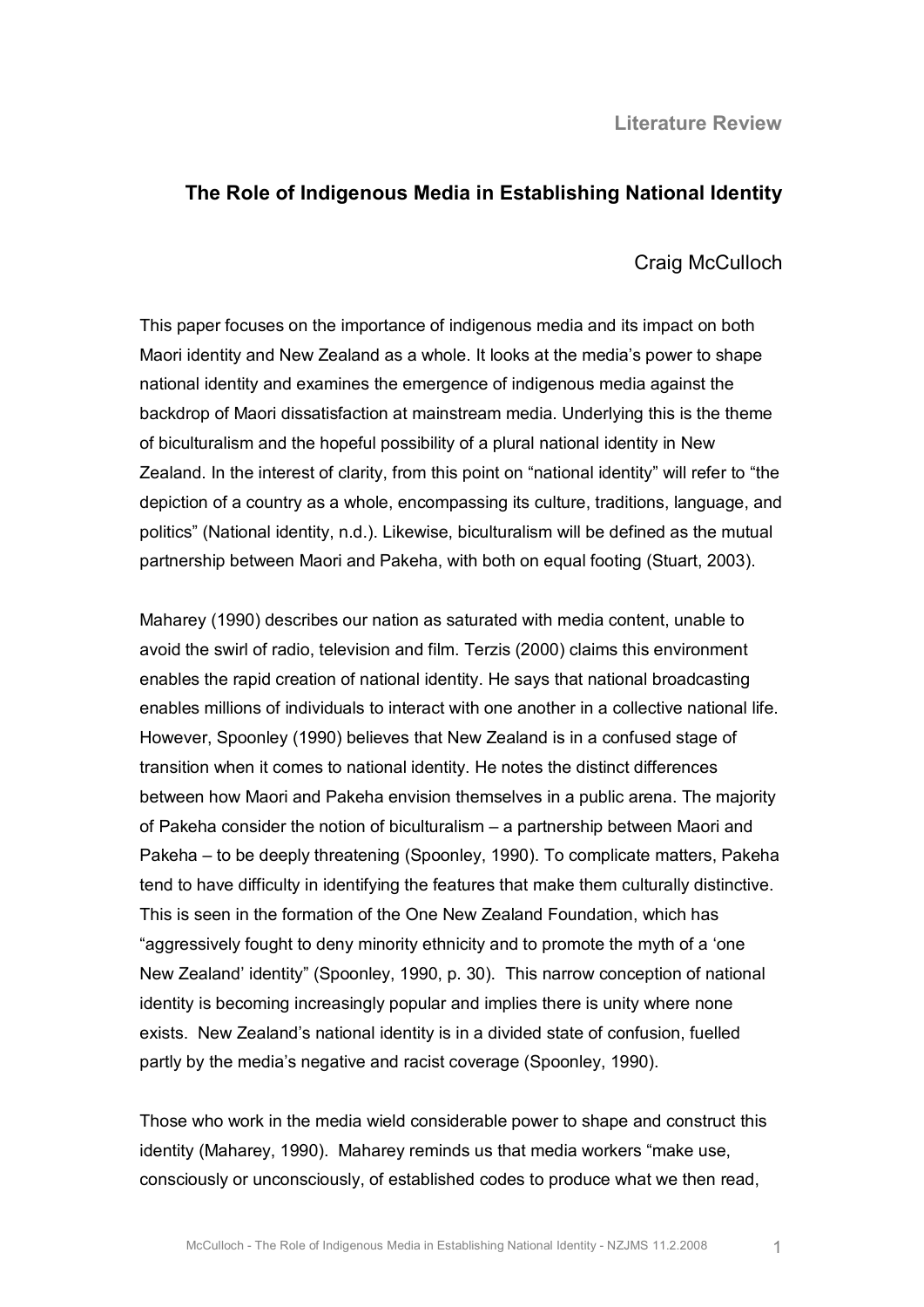**Literature Review** 

## **The Role of Indigenous Media in Establishing National Identity**

Craig McCulloch

This paper focuses on the importance of indigenous media and its impact on both Maori identity and New Zealand as a whole. It looks at the media's power to shape national identity and examines the emergence of indigenous media against the backdrop of Maori dissatisfaction at mainstream media. Underlying this is the theme of biculturalism and the hopeful possibility of a plural national identity in New Zealand. In the interest of clarity, from this point on "national identity" will refer to "the depiction of a country as a whole, encompassing its culture, traditions, language, and politics" (National identity, n.d.). Likewise, biculturalism will be defined as the mutual partnership between Maori and Pakeha, with both on equal footing (Stuart, 2003).

Maharey (1990) describes our nation as saturated with media content, unable to avoid the swirl of radio, television and film. Terzis (2000) claims this environment enables the rapid creation of national identity. He says that national broadcasting enables millions of individuals to interact with one another in a collective national life. However, Spoonley (1990) believes that New Zealand is in a confused stage of transition when it comes to national identity. He notes the distinct differences between how Maori and Pakeha envision themselves in a public arena. The majority of Pakeha consider the notion of biculturalism – a partnership between Maori and Pakeha – to be deeply threatening (Spoonley, 1990). To complicate matters, Pakeha tend to have difficulty in identifying the features that make them culturally distinctive. This is seen in the formation of the One New Zealand Foundation, which has "aggressively fought to deny minority ethnicity and to promote the myth of a 'one New Zealand' identity" (Spoonley, 1990, p. 30). This narrow conception of national identity is becoming increasingly popular and implies there is unity where none exists. New Zealand's national identity is in a divided state of confusion, fuelled partly by the media's negative and racist coverage (Spoonley, 1990).

Those who work in the media wield considerable power to shape and construct this identity (Maharey, 1990). Maharey reminds us that media workers "make use, consciously or unconsciously, of established codes to produce what we then read,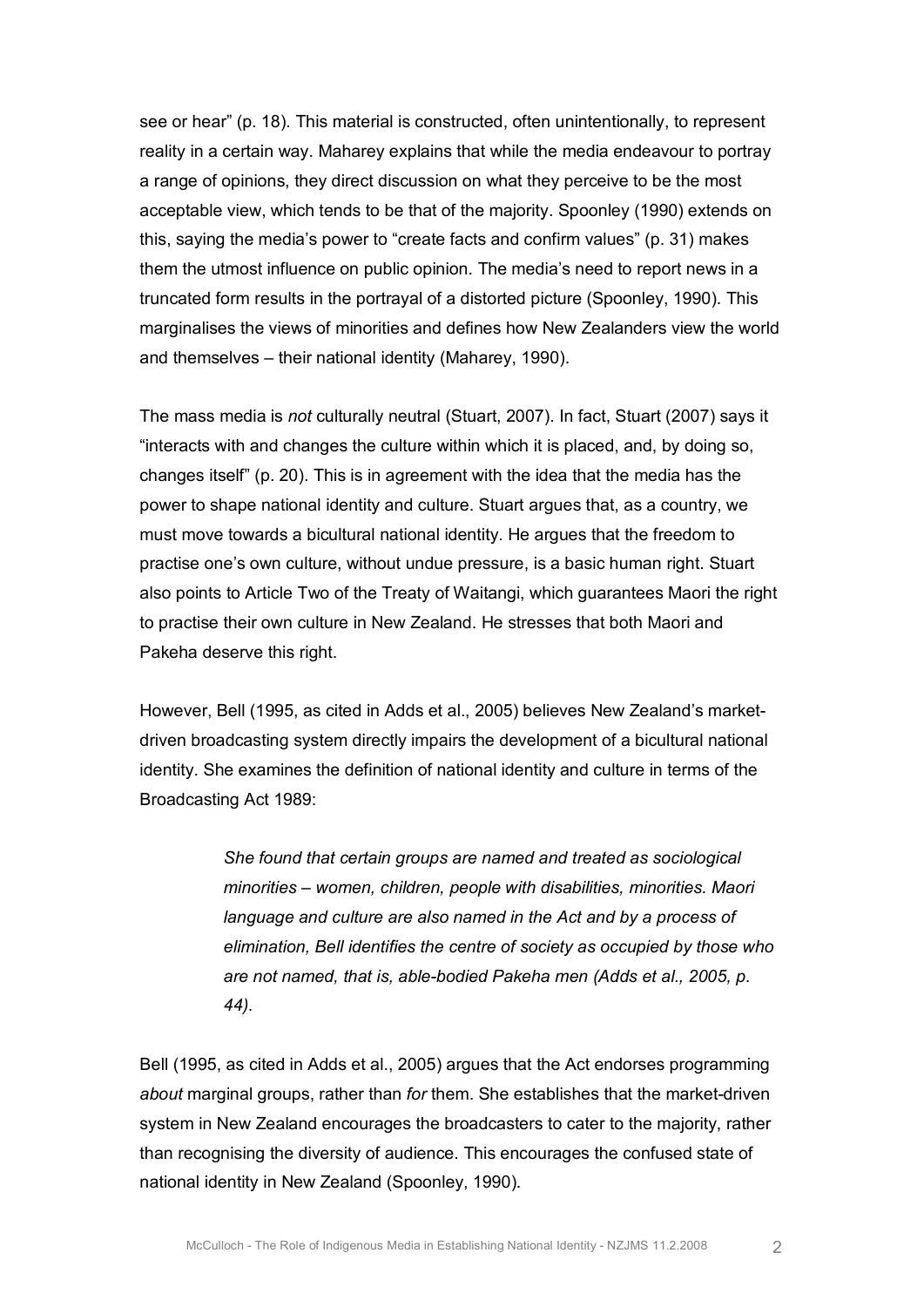see or hear" (p. 18). This material is constructed, often unintentionally, to represent reality in a certain way. Maharey explains that while the media endeavour to portray a range of opinions, they direct discussion on what they perceive to be the most acceptable view, which tends to be that of the majority. Spoonley (1990) extends on this, saying the media's power to "create facts and confirm values" (p. 31) makes them the utmost influence on public opinion. The media's need to report news in a truncated form results in the portrayal of a distorted picture (Spoonley, 1990). This marginalises the views of minorities and defines how New Zealanders view the world and themselves – their national identity (Maharey, 1990).

The mass media is *not* culturally neutral (Stuart, 2007). In fact, Stuart (2007) says it "interacts with and changes the culture within which it is placed, and, by doing so, changes itself" (p. 20). This is in agreement with the idea that the media has the power to shape national identity and culture. Stuart argues that, as a country, we must move towards a bicultural national identity. He argues that the freedom to practise one's own culture, without undue pressure, is a basic human right. Stuart also points to Article Two of the Treaty of Waitangi, which guarantees Maori the right to practise their own culture in New Zealand. He stresses that both Maori and Pakeha deserve this right.

However, Bell (1995, as cited in Adds et al., 2005) believes New Zealand's market driven broadcasting system directly impairs the development of a bicultural national identity. She examines the definition of national identity and culture in terms of the Broadcasting Act 1989:

> *She found that certain groups are named and treated as sociological minorities – women, children, people with disabilities, minorities. Maori language and culture are also named in the Act and by a process of elimination, Bell identifies the centre of society as occupied by those who are not named, that is, ablebodied Pakeha men (Adds et al., 2005, p. 44).*

Bell (1995, as cited in Adds et al., 2005) argues that the Act endorses programming *about* marginal groups, rather than *for* them. She establishes that the market-driven system in New Zealand encourages the broadcasters to cater to the majority, rather than recognising the diversity of audience. This encourages the confused state of national identity in New Zealand (Spoonley, 1990).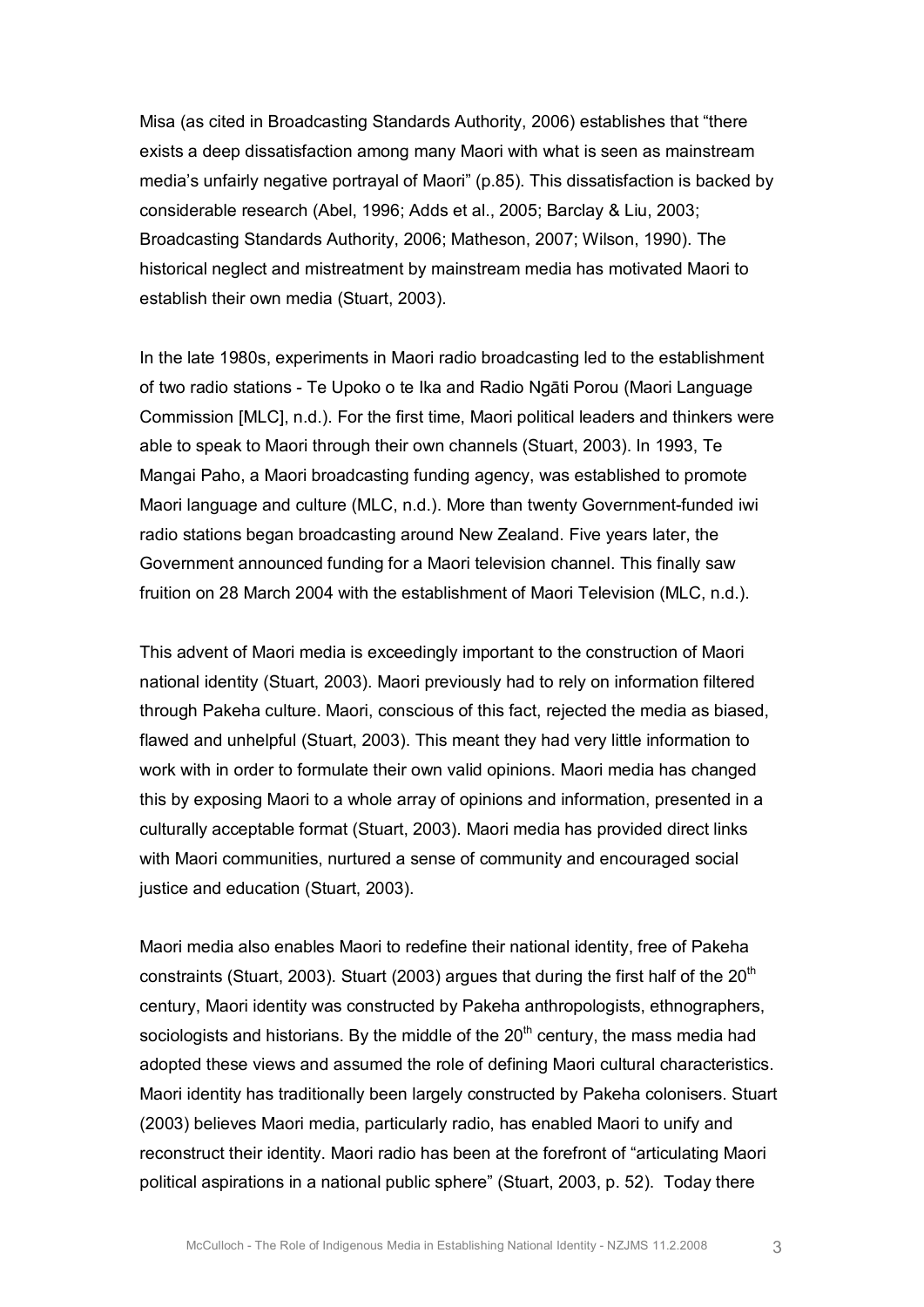Misa (as cited in Broadcasting Standards Authority, 2006) establishes that "there exists a deep dissatisfaction among many Maori with what is seen as mainstream media's unfairly negative portrayal of Maori" (p.85). This dissatisfaction is backed by considerable research (Abel, 1996; Adds et al., 2005; Barclay & Liu, 2003; Broadcasting Standards Authority, 2006; Matheson, 2007; Wilson, 1990). The historical neglect and mistreatment by mainstream media has motivated Maori to establish their own media (Stuart, 2003).

In the late 1980s, experiments in Maori radio broadcasting led to the establishment of two radio stations Te Upoko o te Ika and Radio Ngāti Porou (Maori Language Commission [MLC], n.d.). For the first time, Maori political leaders and thinkers were able to speak to Maori through their own channels (Stuart, 2003). In 1993, Te Mangai Paho, a Maori broadcasting funding agency, was established to promote Maori language and culture (MLC, n.d.). More than twenty Government-funded iwi radio stations began broadcasting around New Zealand. Five years later, the Government announced funding for a Maori television channel. This finally saw fruition on 28 March 2004 with the establishment of Maori Television (MLC, n.d.).

This advent of Maori media is exceedingly important to the construction of Maori national identity (Stuart, 2003). Maori previously had to rely on information filtered through Pakeha culture. Maori, conscious of this fact, rejected the media as biased, flawed and unhelpful (Stuart, 2003). This meant they had very little information to work with in order to formulate their own valid opinions. Maori media has changed this by exposing Maori to a whole array of opinions and information, presented in a culturally acceptable format (Stuart, 2003). Maori media has provided direct links with Maori communities, nurtured a sense of community and encouraged social justice and education (Stuart, 2003).

Maori media also enables Maori to redefine their national identity, free of Pakeha constraints (Stuart, 2003). Stuart (2003) argues that during the first half of the  $20<sup>th</sup>$ century, Maori identity was constructed by Pakeha anthropologists, ethnographers, sociologists and historians. By the middle of the  $20^{\text{th}}$  century, the mass media had adopted these views and assumed the role of defining Maori cultural characteristics. Maori identity has traditionally been largely constructed by Pakeha colonisers. Stuart (2003) believes Maori media, particularly radio, has enabled Maori to unify and reconstruct their identity. Maori radio has been at the forefront of "articulating Maori political aspirations in a national public sphere" (Stuart, 2003, p. 52). Today there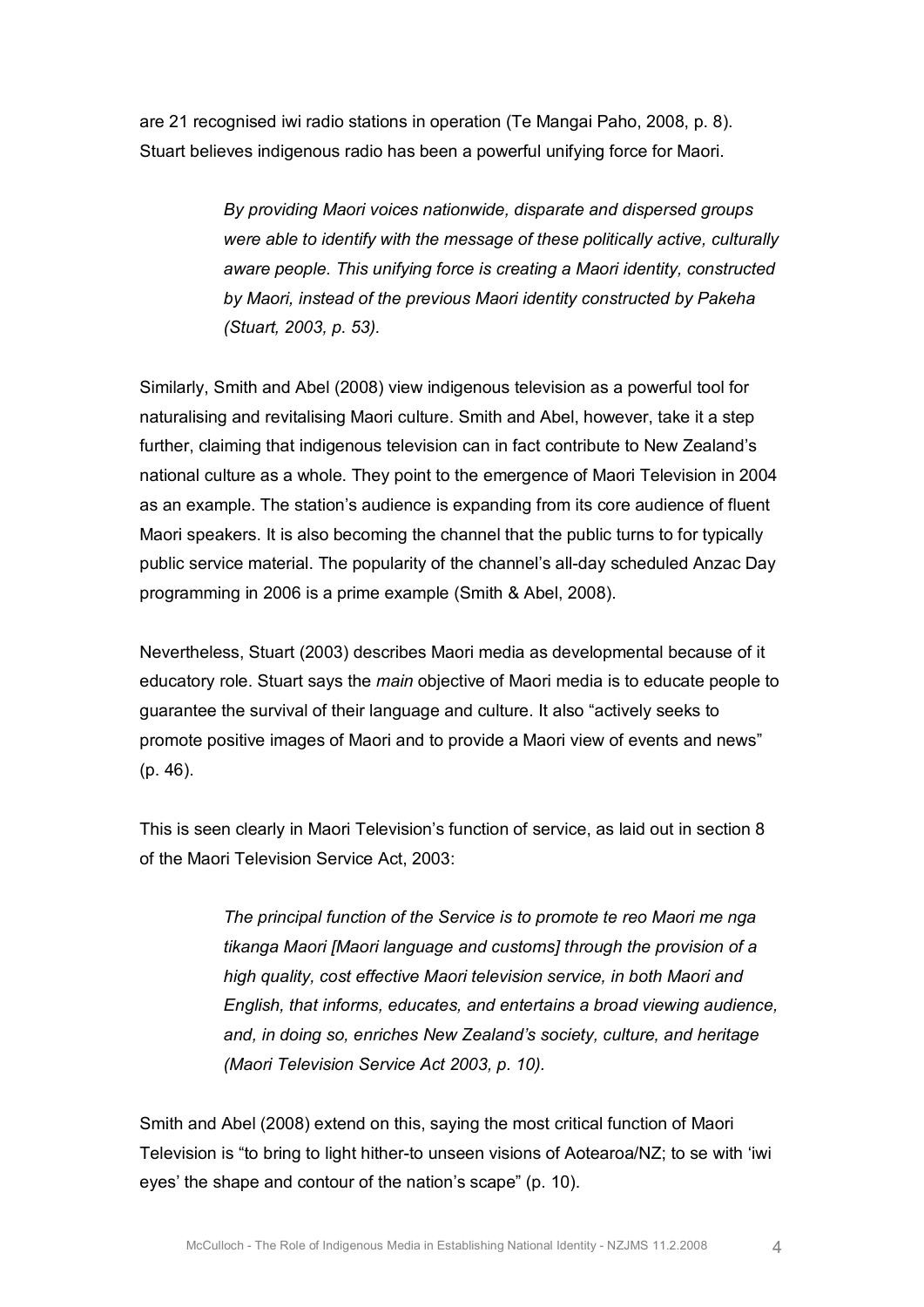are 21 recognised iwi radio stations in operation (Te Mangai Paho, 2008, p. 8). Stuart believes indigenous radio has been a powerful unifying force for Maori.

> *By providing Maori voices nationwide, disparate and dispersed groups were able to identify with the message of these politically active, culturally aware people. This unifying force is creating a Maori identity, constructed by Maori, instead of the previous Maori identity constructed by Pakeha (Stuart, 2003, p. 53).*

Similarly, Smith and Abel (2008) view indigenous television as a powerful tool for naturalising and revitalising Maori culture. Smith and Abel, however, take it a step further, claiming that indigenous television can in fact contribute to New Zealand's national culture as a whole. They point to the emergence of Maori Television in 2004 as an example. The station's audience is expanding from its core audience of fluent Maori speakers. It is also becoming the channel that the public turns to for typically public service material. The popularity of the channel's all-day scheduled Anzac Day programming in 2006 is a prime example (Smith & Abel, 2008).

Nevertheless, Stuart (2003) describes Maori media as developmental because of it educatory role. Stuart says the *main* objective of Maori media is to educate people to guarantee the survival of their language and culture. It also "actively seeks to promote positive images of Maori and to provide a Maori view of events and news" (p. 46).

This is seen clearly in Maori Television's function of service, as laid out in section 8 of the Maori Television Service Act, 2003:

> *The principal function of the Service is to promote te reo Maori me nga tikanga Maori [Maori language and customs] through the provision of a high quality, cost effective Maori television service, in both Maori and English, that informs, educates, and entertains a broad viewing audience, and, in doing so, enriches New Zealand's society, culture, and heritage (Maori Television Service Act 2003, p. 10).*

Smith and Abel (2008) extend on this, saying the most critical function of Maori Television is "to bring to light hither-to unseen visions of Aotearoa/NZ; to se with 'iwi eyes' the shape and contour of the nation's scape" (p. 10).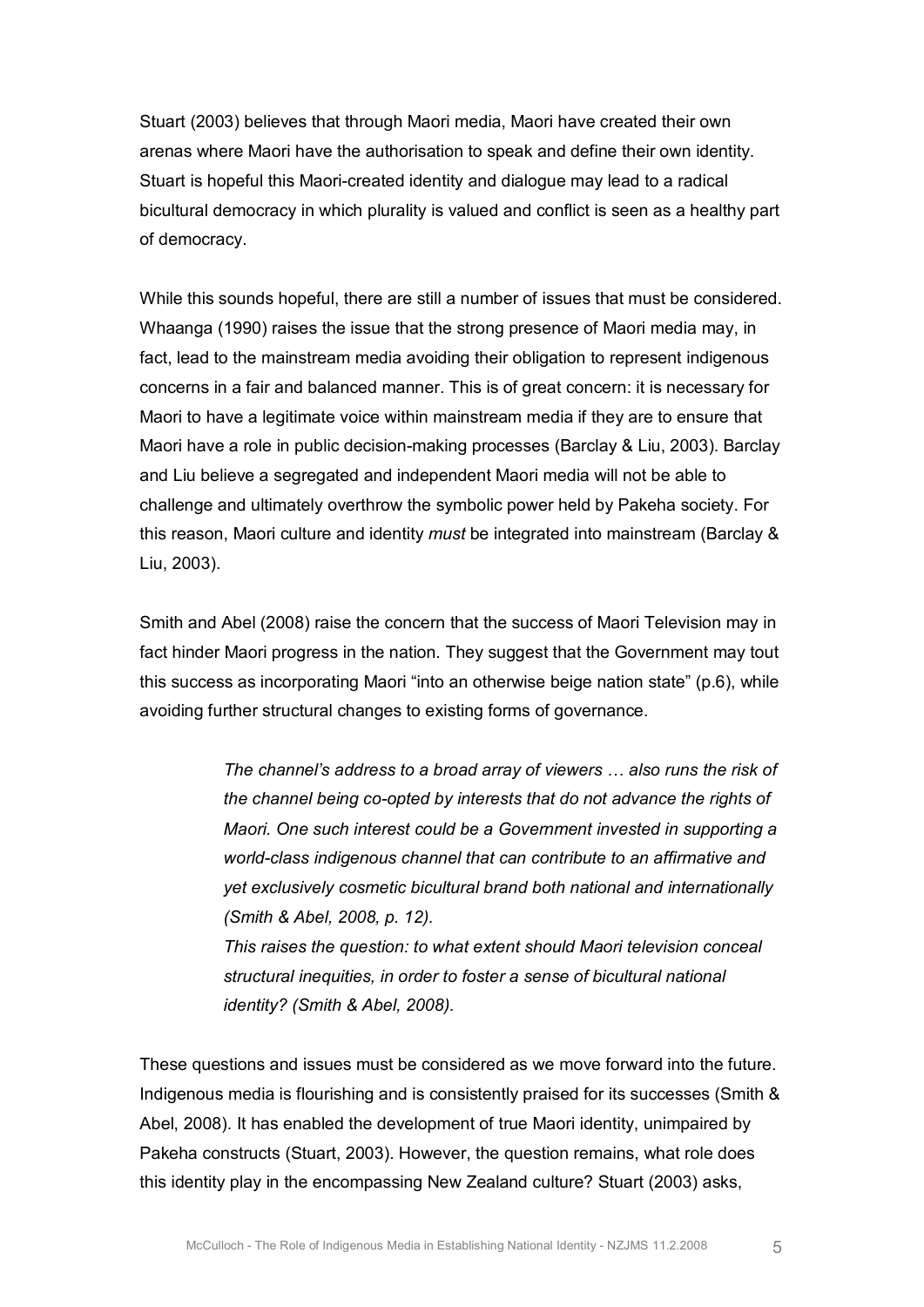Stuart (2003) believes that through Maori media, Maori have created their own arenas where Maori have the authorisation to speak and define their own identity. Stuart is hopeful this Maori-created identity and dialogue may lead to a radical bicultural democracy in which plurality is valued and conflict is seen as a healthy part of democracy.

While this sounds hopeful, there are still a number of issues that must be considered. Whaanga (1990) raises the issue that the strong presence of Maori media may, in fact, lead to the mainstream media avoiding their obligation to represent indigenous concerns in a fair and balanced manner. This is of great concern: it is necessary for Maori to have a legitimate voice within mainstream media if they are to ensure that Maori have a role in public decision-making processes (Barclay & Liu, 2003). Barclay and Liu believe a segregated and independent Maori media will not be able to challenge and ultimately overthrow the symbolic power held by Pakeha society. For this reason, Maori culture and identity *must* be integrated into mainstream (Barclay & Liu, 2003).

Smith and Abel (2008) raise the concern that the success of Maori Television may in fact hinder Maori progress in the nation. They suggest that the Government may tout this success as incorporating Maori "into an otherwise beige nation state" (p.6), while avoiding further structural changes to existing forms of governance.

> *The channel's address to a broad array of viewers … also runs the risk of the channel being co-opted by interests that do not advance the rights of Maori. One such interest could be a Government invested in supporting a world-class indigenous channel that can contribute to an affirmative and yet exclusively cosmetic bicultural brand both national and internationally (Smith & Abel, 2008, p. 12).*

*This raises the question: to what extent should Maori television conceal structural inequities, in order to foster a sense of bicultural national identity? (Smith & Abel, 2008).*

These questions and issues must be considered as we move forward into the future. Indigenous media is flourishing and is consistently praised for its successes (Smith & Abel, 2008). It has enabled the development of true Maori identity, unimpaired by Pakeha constructs (Stuart, 2003). However, the question remains, what role does this identity play in the encompassing New Zealand culture? Stuart (2003) asks,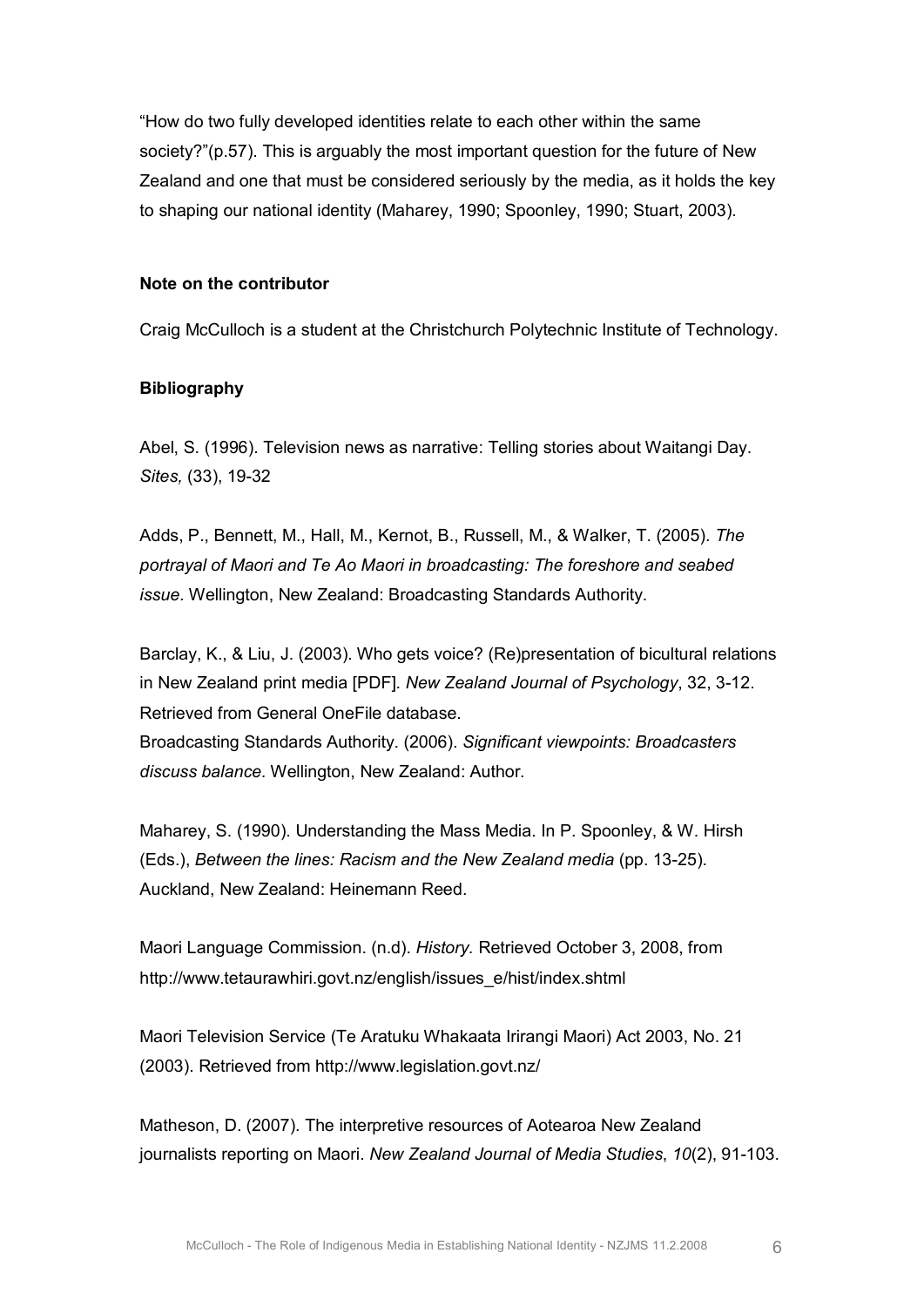"How do two fully developed identities relate to each other within the same society?"(p.57). This is arguably the most important question for the future of New Zealand and one that must be considered seriously by the media, as it holds the key to shaping our national identity (Maharey, 1990; Spoonley, 1990; Stuart, 2003).

## **Note on the contributor**

Craig McCulloch is a student at the Christchurch Polytechnic Institute of Technology.

## **Bibliography**

Abel, S. (1996). Television news as narrative: Telling stories about Waitangi Day. *Sites,* (33), 19-32

Adds, P., Bennett, M., Hall, M., Kernot, B., Russell, M., & Walker, T. (2005). *The portrayal of Maori and Te Ao Maori in broadcasting: The foreshore and seabed issue.* Wellington, New Zealand: Broadcasting Standards Authority.

Barclay, K., & Liu, J. (2003). Who gets voice? (Re)presentation of bicultural relations in New Zealand print media [PDF]. *New Zealand Journal of Psychology*, 32, 312. Retrieved from General OneFile database.

Broadcasting Standards Authority. (2006). *Significant viewpoints: Broadcasters discuss balance.* Wellington, New Zealand: Author.

Maharey, S. (1990). Understanding the Mass Media. In P. Spoonley, & W. Hirsh (Eds.), *Between the lines: Racism and the New Zealand media* (pp. 1325). Auckland, New Zealand: Heinemann Reed.

Maori Language Commission. (n.d). *History.* Retrieved October 3, 2008, from http://www.tetaurawhiri.govt.nz/english/issues\_e/hist/index.shtml

Maori Television Service (Te Aratuku Whakaata Irirangi Maori) Act 2003, No. 21 (2003). Retrieved from http://www.legislation.govt.nz/

Matheson, D. (2007). The interpretive resources of Aotearoa New Zealand journalists reporting on Maori. New Zealand Journal of Media Studies, 10(2), 91-103.